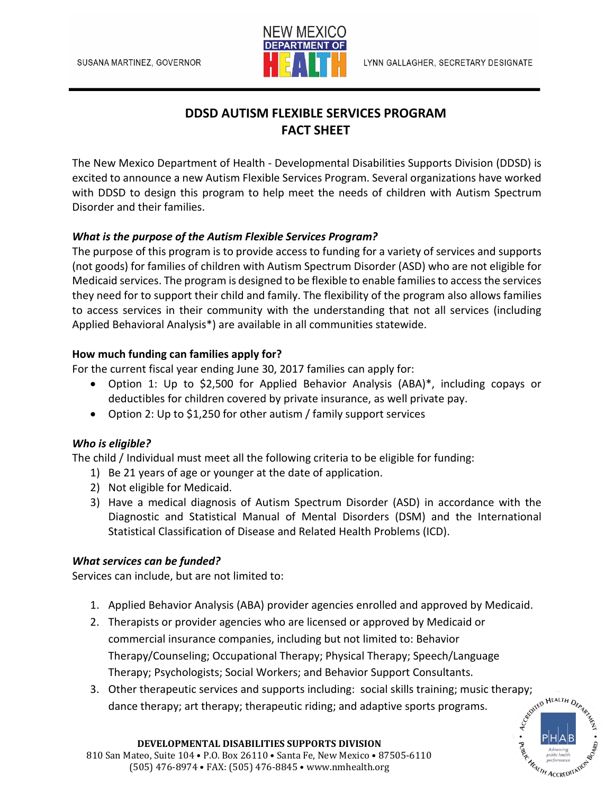

# **DDSD AUTISM FLEXIBLE SERVICES PROGRAM FACT SHEET**

The New Mexico Department of Health - Developmental Disabilities Supports Division (DDSD) is excited to announce a new Autism Flexible Services Program. Several organizations have worked with DDSD to design this program to help meet the needs of children with Autism Spectrum Disorder and their families.

#### *What is the purpose of the Autism Flexible Services Program?*

The purpose of this program is to provide access to funding for a variety of services and supports (not goods) for families of children with Autism Spectrum Disorder (ASD) who are not eligible for Medicaid services. The program is designed to be flexible to enable familiesto access the services they need for to support their child and family. The flexibility of the program also allows families to access services in their community with the understanding that not all services (including Applied Behavioral Analysis\*) are available in all communities statewide.

#### **How much funding can families apply for?**

For the current fiscal year ending June 30, 2017 families can apply for:

- Option 1: Up to \$2,500 for Applied Behavior Analysis (ABA)\*, including copays or deductibles for children covered by private insurance, as well private pay.
- Option 2: Up to \$1,250 for other autism / family support services

#### *Who is eligible?*

The child / Individual must meet all the following criteria to be eligible for funding:

- 1) Be 21 years of age or younger at the date of application.
- 2) Not eligible for Medicaid.
- 3) Have a medical diagnosis of Autism Spectrum Disorder (ASD) in accordance with the Diagnostic and Statistical Manual of Mental Disorders (DSM) and the International Statistical Classification of Disease and Related Health Problems (ICD).

#### *What services can be funded?*

Services can include, but are not limited to:

- 1. Applied Behavior Analysis (ABA) provider agencies enrolled and approved by Medicaid.
- 2. Therapists or provider agencies who are licensed or approved by Medicaid or commercial insurance companies, including but not limited to: Behavior Therapy/Counseling; Occupational Therapy; Physical Therapy; Speech/Language Therapy; Psychologists; Social Workers; and Behavior Support Consultants.
- 3. Other therapeutic services and supports including: social skills training; music therapy;<br>dance therapy; art therapy; therapeutic riding; and adaptive sports programs. dance therapy; art therapy; therapeutic riding; and adaptive sports programs.



#### **DEVELOPMENTAL DISABILITIES SUPPORTS DIVISION** 810 San Mateo, Suite 104 • P.O. Box 26110 • Santa Fe, New Mexico • 87505-6110 (505) 476-8974 • FAX: (505) 476-8845 • www.nmhealth.org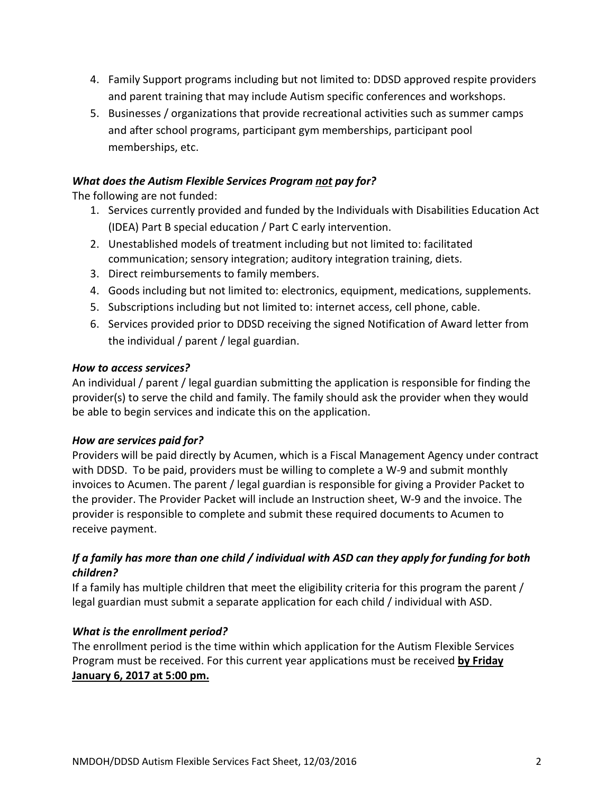- 4. Family Support programs including but not limited to: DDSD approved respite providers and parent training that may include Autism specific conferences and workshops.
- 5. Businesses / organizations that provide recreational activities such as summer camps and after school programs, participant gym memberships, participant pool memberships, etc.

#### *What does the Autism Flexible Services Program not pay for?*

The following are not funded:

- 1. Services currently provided and funded by the Individuals with Disabilities Education Act (IDEA) Part B special education / Part C early intervention.
- 2. Unestablished models of treatment including but not limited to: facilitated communication; sensory integration; auditory integration training, diets.
- 3. Direct reimbursements to family members.
- 4. Goods including but not limited to: electronics, equipment, medications, supplements.
- 5. Subscriptions including but not limited to: internet access, cell phone, cable.
- 6. Services provided prior to DDSD receiving the signed Notification of Award letter from the individual / parent / legal guardian.

#### *How to access services?*

An individual / parent / legal guardian submitting the application is responsible for finding the provider(s) to serve the child and family. The family should ask the provider when they would be able to begin services and indicate this on the application.

### *How are services paid for?*

Providers will be paid directly by Acumen, which is a Fiscal Management Agency under contract with DDSD. To be paid, providers must be willing to complete a W-9 and submit monthly invoices to Acumen. The parent / legal guardian is responsible for giving a Provider Packet to the provider. The Provider Packet will include an Instruction sheet, W-9 and the invoice. The provider is responsible to complete and submit these required documents to Acumen to receive payment.

## *If a family has more than one child / individual with ASD can they apply for funding for both children?*

If a family has multiple children that meet the eligibility criteria for this program the parent / legal guardian must submit a separate application for each child / individual with ASD.

### *What is the enrollment period?*

The enrollment period is the time within which application for the Autism Flexible Services Program must be received. For this current year applications must be received **by Friday January 6, 2017 at 5:00 pm.**